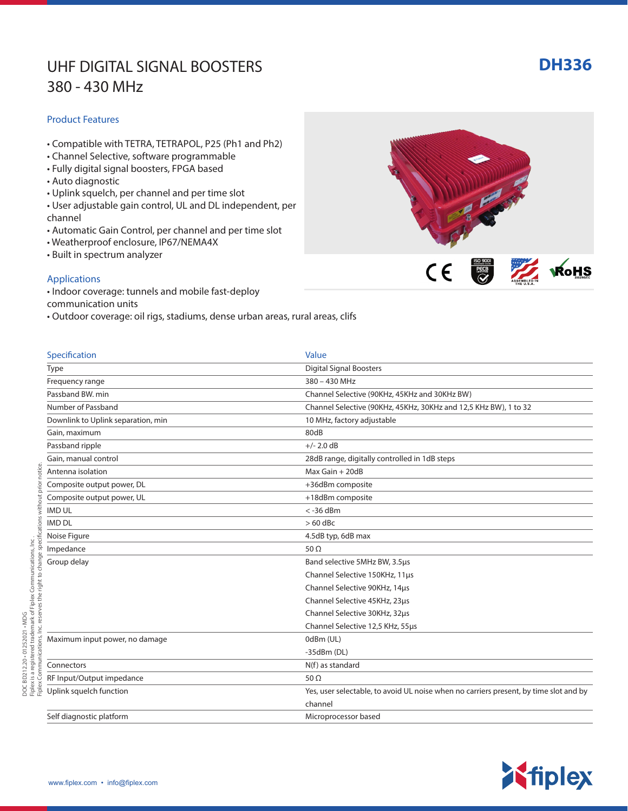## UHF DIGITAL SIGNAL BOOSTERS **DH336** 380 - 430 MHz

#### Product Features

- Compatible with TETRA, TETRAPOL, P25 (Ph1 and Ph2)
- Channel Selective, software programmable
- Fully digital signal boosters, FPGA based
- Auto diagnostic
- Uplink squelch, per channel and per time slot
- User adjustable gain control, UL and DL independent, per channel
- Automatic Gain Control, per channel and per time slot
- Weatherproof enclosure, IP67/NEMA4X
- Built in spectrum analyzer

### Applications

- Indoor coverage: tunnels and mobile fast-deploy
- communication units
- Outdoor coverage: oil rigs, stadiums, dense urban areas, rural areas, clifs

channel and the channel of the channel of the channel of the channel of the channel of the channel of the channel

Self diagnostic platform and the self diagnostic platform of the self diagnostic platform of the self diagnosis of  $M$ .

| Specification                      | Value                                                            |
|------------------------------------|------------------------------------------------------------------|
| <b>Type</b>                        | <b>Digital Signal Boosters</b>                                   |
| Frequency range                    | 380 - 430 MHz                                                    |
| Passband BW, min                   | Channel Selective (90KHz, 45KHz and 30KHz BW)                    |
| Number of Passband                 | Channel Selective (90KHz, 45KHz, 30KHz and 12,5 KHz BW), 1 to 32 |
| Downlink to Uplink separation, min | 10 MHz, factory adjustable                                       |
| Gain, maximum                      | 80dB                                                             |
| Passband ripple                    | $+/- 2.0$ dB                                                     |
| Gain, manual control               | 28dB range, digitally controlled in 1dB steps                    |
| Antenna isolation                  | Max Gain + 20dB                                                  |
| Composite output power, DL         | +36dBm composite                                                 |
| Composite output power, UL         | +18dBm composite                                                 |
| <b>IMD UL</b>                      | $<$ -36 dBm                                                      |
| <b>IMD DL</b>                      | $>60$ dBc                                                        |
| Noise Figure                       | 4.5dB typ, 6dB max                                               |
| Impedance                          | 50 $\Omega$                                                      |
| Group delay                        | Band selective 5MHz BW, 3.5µs                                    |
|                                    | Channel Selective 150KHz, 11us                                   |
|                                    | Channel Selective 90KHz, 14us                                    |
|                                    | Channel Selective 45KHz, 23us                                    |
|                                    | Channel Selective 30KHz, 32us                                    |
|                                    | Channel Selective 12,5 KHz, 55µs                                 |
| Maximum input power, no damage     | 0dBm (UL)                                                        |
|                                    | $-35dBm(DL)$                                                     |
| Connectors                         | N(f) as standard                                                 |
| RF Input/Output impedance          | 50 $\Omega$                                                      |

Uplink squelch function Yes, user selectable, to avoid UL noise when no carriers present, by time slot and by



ISO 9001

 $C \in$ 

**ZZ** WOHS